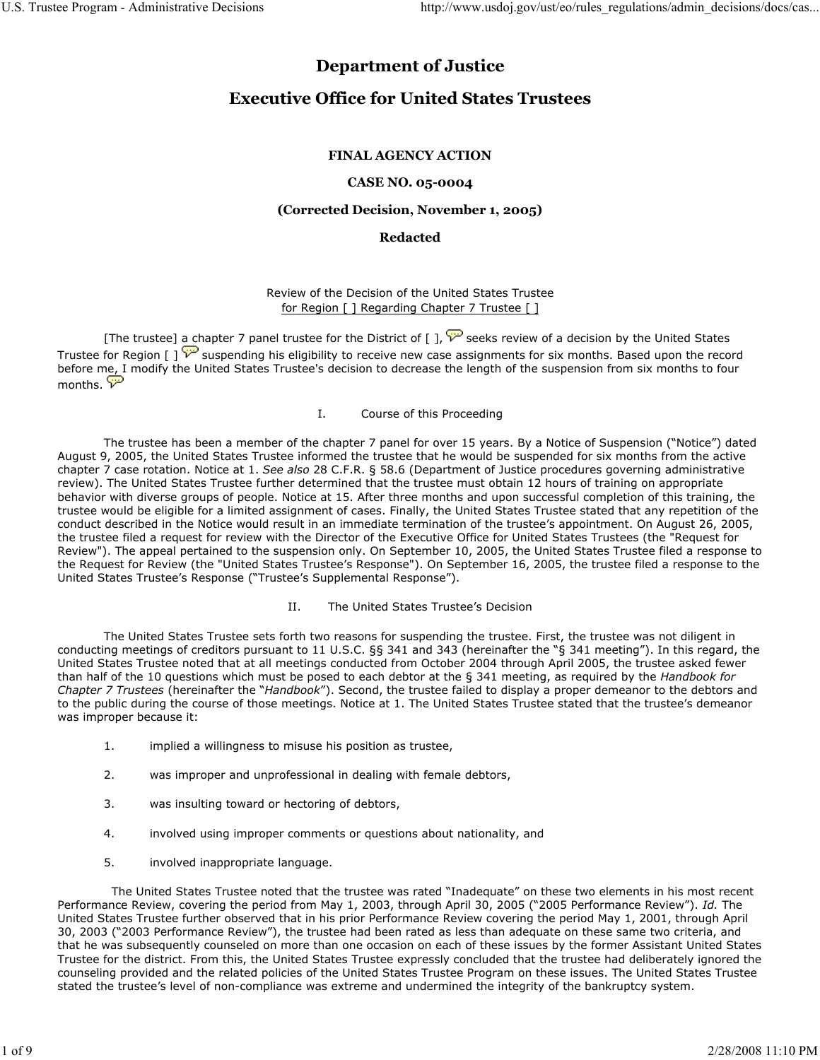# Department of Justice

# Executive Office for United States Trustees

# FINAL AGENCY ACTION

# CASE NO. 05-0004

### (Corrected Decision, November 1, 2005)

## Redacted

## Review of the Decision of the United States Trustee for Region [ ] Regarding Chapter 7 Trustee [ ]

[The trustee] a chapter 7 panel trustee for the District of [ ],  $\overleftrightarrow{V}$  seeks review of a decision by the United States Trustee for Region  $\left[\right]$   $\overline{\mathcal{V}}$  suspending his eligibility to receive new case assignments for six months. Based upon the record before me, I modify the United States Trustee's decision to decrease the length of the suspension from six months to four months.  $\overline{\mathcal{V}}$ 

#### I. Course of this Proceeding

 The trustee has been a member of the chapter 7 panel for over 15 years. By a Notice of Suspension ("Notice") dated August 9, 2005, the United States Trustee informed the trustee that he would be suspended for six months from the active chapter 7 case rotation. Notice at 1. See also 28 C.F.R. § 58.6 (Department of Justice procedures governing administrative review). The United States Trustee further determined that the trustee must obtain 12 hours of training on appropriate behavior with diverse groups of people. Notice at 15. After three months and upon successful completion of this training, the trustee would be eligible for a limited assignment of cases. Finally, the United States Trustee stated that any repetition of the conduct described in the Notice would result in an immediate termination of the trustee's appointment. On August 26, 2005, the trustee filed a request for review with the Director of the Executive Office for United States Trustees (the "Request for Review"). The appeal pertained to the suspension only. On September 10, 2005, the United States Trustee filed a response to the Request for Review (the "United States Trustee's Response"). On September 16, 2005, the trustee filed a response to the United States Trustee's Response ("Trustee's Supplemental Response").

#### II. The United States Trustee's Decision

 The United States Trustee sets forth two reasons for suspending the trustee. First, the trustee was not diligent in conducting meetings of creditors pursuant to 11 U.S.C. §§ 341 and 343 (hereinafter the "§ 341 meeting"). In this regard, the United States Trustee noted that at all meetings conducted from October 2004 through April 2005, the trustee asked fewer than half of the 10 questions which must be posed to each debtor at the § 341 meeting, as required by the Handbook for Chapter 7 Trustees (hereinafter the "Handbook"). Second, the trustee failed to display a proper demeanor to the debtors and to the public during the course of those meetings. Notice at 1. The United States Trustee stated that the trustee's demeanor was improper because it:

- 1. implied a willingness to misuse his position as trustee,
- 2. was improper and unprofessional in dealing with female debtors,
- 3. was insulting toward or hectoring of debtors,
- 4. involved using improper comments or questions about nationality, and
- 5. involved inappropriate language.

 The United States Trustee noted that the trustee was rated "Inadequate" on these two elements in his most recent Performance Review, covering the period from May 1, 2003, through April 30, 2005 ("2005 Performance Review"). Id. The United States Trustee further observed that in his prior Performance Review covering the period May 1, 2001, through April 30, 2003 ("2003 Performance Review"), the trustee had been rated as less than adequate on these same two criteria, and that he was subsequently counseled on more than one occasion on each of these issues by the former Assistant United States Trustee for the district. From this, the United States Trustee expressly concluded that the trustee had deliberately ignored the counseling provided and the related policies of the United States Trustee Program on these issues. The United States Trustee stated the trustee's level of non-compliance was extreme and undermined the integrity of the bankruptcy system.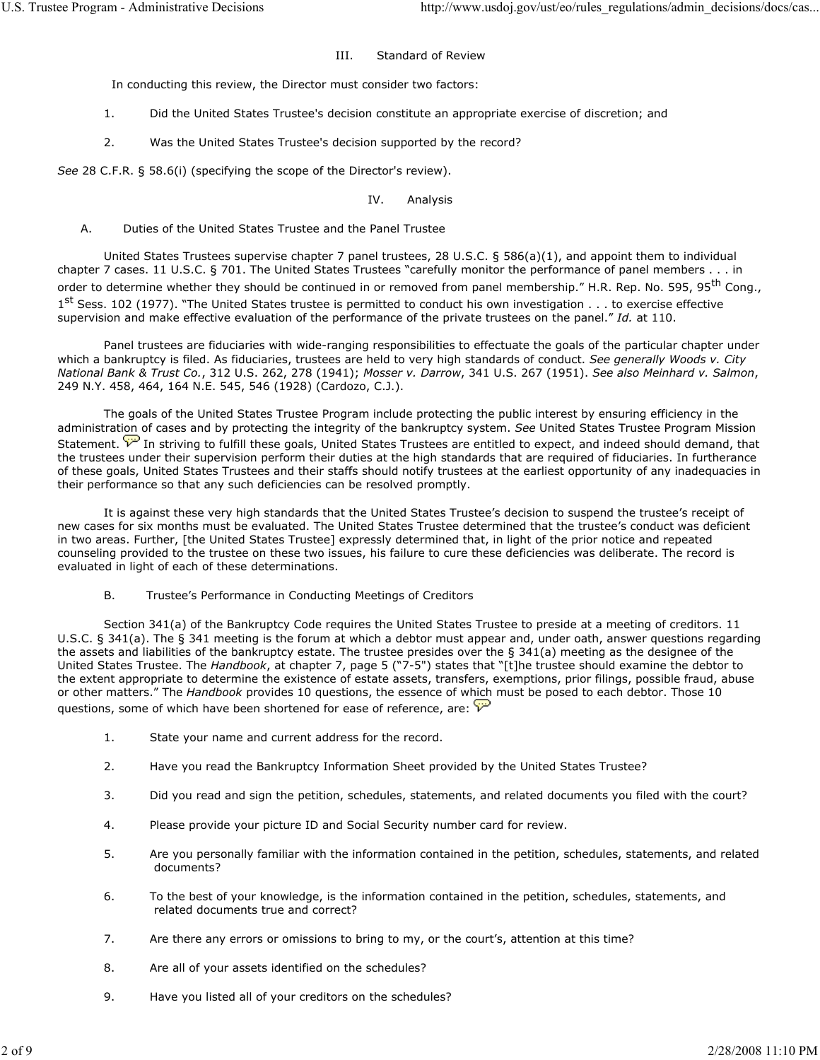#### III. Standard of Review

In conducting this review, the Director must consider two factors:

- 1. Did the United States Trustee's decision constitute an appropriate exercise of discretion; and
- 2. Was the United States Trustee's decision supported by the record?

See 28 C.F.R. § 58.6(i) (specifying the scope of the Director's review).

#### IV. Analysis

A. Duties of the United States Trustee and the Panel Trustee

 United States Trustees supervise chapter 7 panel trustees, 28 U.S.C. § 586(a)(1), and appoint them to individual chapter 7 cases. 11 U.S.C. § 701. The United States Trustees "carefully monitor the performance of panel members . . . in order to determine whether they should be continued in or removed from panel membership." H.R. Rep. No. 595, 95<sup>th</sup> Cong., 1<sup>st</sup> Sess. 102 (1977). "The United States trustee is permitted to conduct his own investigation . . . to exercise effective supervision and make effective evaluation of the performance of the private trustees on the panel." Id. at 110.

 Panel trustees are fiduciaries with wide-ranging responsibilities to effectuate the goals of the particular chapter under which a bankruptcy is filed. As fiduciaries, trustees are held to very high standards of conduct. See generally Woods v. City National Bank & Trust Co., 312 U.S. 262, 278 (1941); Mosser v. Darrow, 341 U.S. 267 (1951). See also Meinhard v. Salmon, 249 N.Y. 458, 464, 164 N.E. 545, 546 (1928) (Cardozo, C.J.).

 The goals of the United States Trustee Program include protecting the public interest by ensuring efficiency in the administration of cases and by protecting the integrity of the bankruptcy system. See United States Trustee Program Mission Statement. In striving to fulfill these goals, United States Trustees are entitled to expect, and indeed should demand, that the trustees under their supervision perform their duties at the high standards that are required of fiduciaries. In furtherance of these goals, United States Trustees and their staffs should notify trustees at the earliest opportunity of any inadequacies in their performance so that any such deficiencies can be resolved promptly.

 It is against these very high standards that the United States Trustee's decision to suspend the trustee's receipt of new cases for six months must be evaluated. The United States Trustee determined that the trustee's conduct was deficient in two areas. Further, [the United States Trustee] expressly determined that, in light of the prior notice and repeated counseling provided to the trustee on these two issues, his failure to cure these deficiencies was deliberate. The record is evaluated in light of each of these determinations.

B. Trustee's Performance in Conducting Meetings of Creditors

 Section 341(a) of the Bankruptcy Code requires the United States Trustee to preside at a meeting of creditors. 11 U.S.C. § 341(a). The § 341 meeting is the forum at which a debtor must appear and, under oath, answer questions regarding the assets and liabilities of the bankruptcy estate. The trustee presides over the § 341(a) meeting as the designee of the United States Trustee. The Handbook, at chapter 7, page 5 ("7-5") states that "[t]he trustee should examine the debtor to the extent appropriate to determine the existence of estate assets, transfers, exemptions, prior filings, possible fraud, abuse or other matters." The Handbook provides 10 questions, the essence of which must be posed to each debtor. Those 10 questions, some of which have been shortened for ease of reference, are:  $\widehat{\mathcal{V}}$ 

- 1. State your name and current address for the record.
- 2. Have you read the Bankruptcy Information Sheet provided by the United States Trustee?
- 3. Did you read and sign the petition, schedules, statements, and related documents you filed with the court?
- 4. Please provide your picture ID and Social Security number card for review.
- 5. Are you personally familiar with the information contained in the petition, schedules, statements, and related documents?
- 6. To the best of your knowledge, is the information contained in the petition, schedules, statements, and related documents true and correct?
- 7. Are there any errors or omissions to bring to my, or the court's, attention at this time?
- 8. Are all of your assets identified on the schedules?
- 9. Have you listed all of your creditors on the schedules?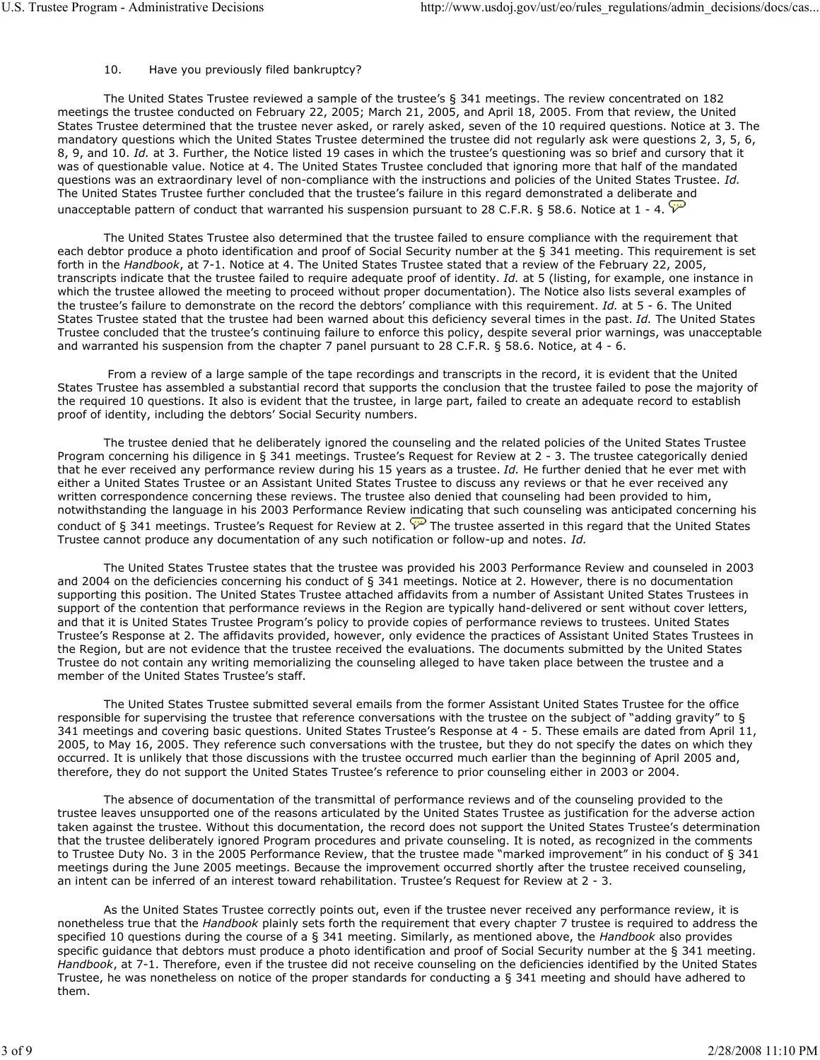### 10. Have you previously filed bankruptcy?

 The United States Trustee reviewed a sample of the trustee's § 341 meetings. The review concentrated on 182 meetings the trustee conducted on February 22, 2005; March 21, 2005, and April 18, 2005. From that review, the United States Trustee determined that the trustee never asked, or rarely asked, seven of the 10 required questions. Notice at 3. The mandatory questions which the United States Trustee determined the trustee did not regularly ask were questions 2, 3, 5, 6, 8, 9, and 10. Id. at 3. Further, the Notice listed 19 cases in which the trustee's questioning was so brief and cursory that it was of questionable value. Notice at 4. The United States Trustee concluded that ignoring more that half of the mandated questions was an extraordinary level of non-compliance with the instructions and policies of the United States Trustee. Id. The United States Trustee further concluded that the trustee's failure in this regard demonstrated a deliberate and unacceptable pattern of conduct that warranted his suspension pursuant to 28 C.F.R. § 58.6. Notice at 1 - 4.  $\overline{V}$ 

 The United States Trustee also determined that the trustee failed to ensure compliance with the requirement that each debtor produce a photo identification and proof of Social Security number at the § 341 meeting. This requirement is set forth in the Handbook, at 7-1. Notice at 4. The United States Trustee stated that a review of the February 22, 2005, transcripts indicate that the trustee failed to require adequate proof of identity. Id. at 5 (listing, for example, one instance in which the trustee allowed the meeting to proceed without proper documentation). The Notice also lists several examples of the trustee's failure to demonstrate on the record the debtors' compliance with this requirement. Id. at 5 - 6. The United States Trustee stated that the trustee had been warned about this deficiency several times in the past. Id. The United States Trustee concluded that the trustee's continuing failure to enforce this policy, despite several prior warnings, was unacceptable and warranted his suspension from the chapter 7 panel pursuant to 28 C.F.R. § 58.6. Notice, at 4 - 6.

 From a review of a large sample of the tape recordings and transcripts in the record, it is evident that the United States Trustee has assembled a substantial record that supports the conclusion that the trustee failed to pose the majority of the required 10 questions. It also is evident that the trustee, in large part, failed to create an adequate record to establish proof of identity, including the debtors' Social Security numbers.

 The trustee denied that he deliberately ignored the counseling and the related policies of the United States Trustee Program concerning his diligence in § 341 meetings. Trustee's Request for Review at 2 - 3. The trustee categorically denied that he ever received any performance review during his 15 years as a trustee. Id. He further denied that he ever met with either a United States Trustee or an Assistant United States Trustee to discuss any reviews or that he ever received any written correspondence concerning these reviews. The trustee also denied that counseling had been provided to him, notwithstanding the language in his 2003 Performance Review indicating that such counseling was anticipated concerning his conduct of § 341 meetings. Trustee's Request for Review at 2.  $\overline{V}$  The trustee asserted in this regard that the United States Trustee cannot produce any documentation of any such notification or follow-up and notes. Id.

 The United States Trustee states that the trustee was provided his 2003 Performance Review and counseled in 2003 and 2004 on the deficiencies concerning his conduct of § 341 meetings. Notice at 2. However, there is no documentation supporting this position. The United States Trustee attached affidavits from a number of Assistant United States Trustees in support of the contention that performance reviews in the Region are typically hand-delivered or sent without cover letters, and that it is United States Trustee Program's policy to provide copies of performance reviews to trustees. United States Trustee's Response at 2. The affidavits provided, however, only evidence the practices of Assistant United States Trustees in the Region, but are not evidence that the trustee received the evaluations. The documents submitted by the United States Trustee do not contain any writing memorializing the counseling alleged to have taken place between the trustee and a member of the United States Trustee's staff.

 The United States Trustee submitted several emails from the former Assistant United States Trustee for the office responsible for supervising the trustee that reference conversations with the trustee on the subject of "adding gravity" to § 341 meetings and covering basic questions. United States Trustee's Response at 4 - 5. These emails are dated from April 11, 2005, to May 16, 2005. They reference such conversations with the trustee, but they do not specify the dates on which they occurred. It is unlikely that those discussions with the trustee occurred much earlier than the beginning of April 2005 and, therefore, they do not support the United States Trustee's reference to prior counseling either in 2003 or 2004.

 The absence of documentation of the transmittal of performance reviews and of the counseling provided to the trustee leaves unsupported one of the reasons articulated by the United States Trustee as justification for the adverse action taken against the trustee. Without this documentation, the record does not support the United States Trustee's determination that the trustee deliberately ignored Program procedures and private counseling. It is noted, as recognized in the comments to Trustee Duty No. 3 in the 2005 Performance Review, that the trustee made "marked improvement" in his conduct of § 341 meetings during the June 2005 meetings. Because the improvement occurred shortly after the trustee received counseling, an intent can be inferred of an interest toward rehabilitation. Trustee's Request for Review at 2 - 3.

 As the United States Trustee correctly points out, even if the trustee never received any performance review, it is nonetheless true that the Handbook plainly sets forth the requirement that every chapter 7 trustee is required to address the specified 10 questions during the course of a § 341 meeting. Similarly, as mentioned above, the Handbook also provides specific guidance that debtors must produce a photo identification and proof of Social Security number at the § 341 meeting. Handbook, at 7-1. Therefore, even if the trustee did not receive counseling on the deficiencies identified by the United States Trustee, he was nonetheless on notice of the proper standards for conducting a § 341 meeting and should have adhered to them.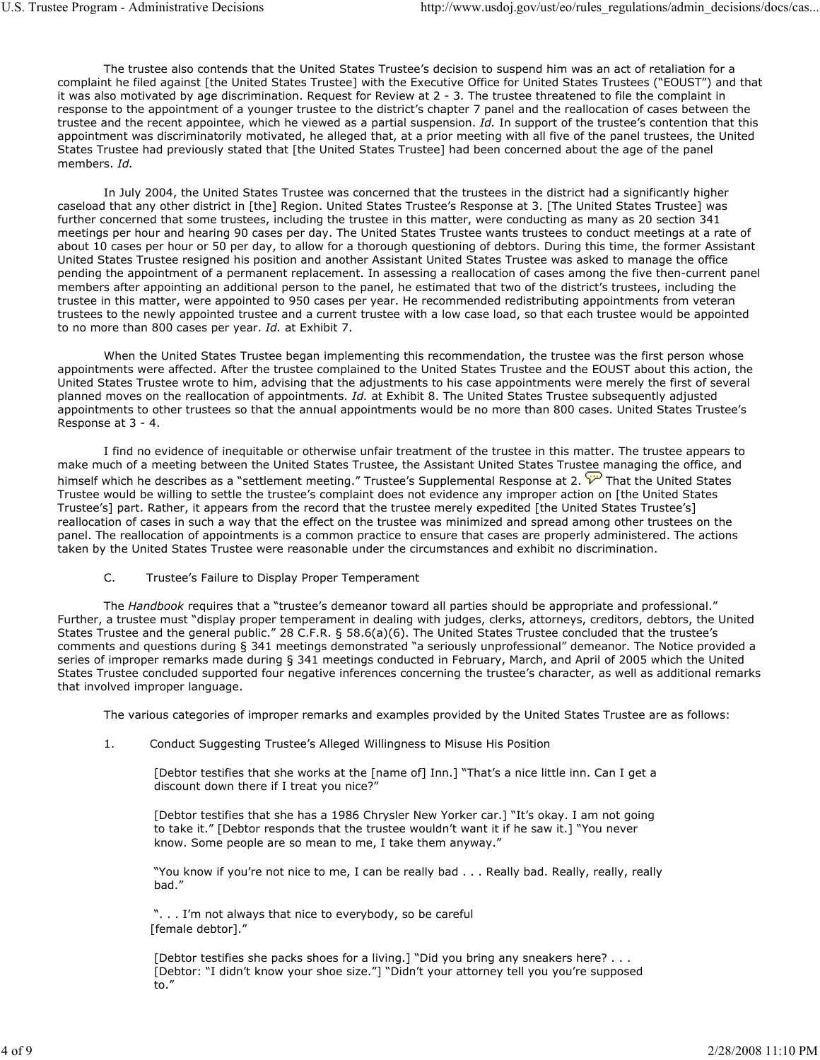The trustee also contends that the United States Trustee's decision to suspend him was an act of retaliation for a complaint he filed against [the United States Trustee] with the Executive Office for United States Trustees ("EOUST") and that it was also motivated by age discrimination. Request for Review at 2 - 3. The trustee threatened to file the complaint in response to the appointment of a younger trustee to the district's chapter 7 panel and the reallocation of cases between the trustee and the recent appointee, which he viewed as a partial suspension. Id. In support of the trustee's contention that this appointment was discriminatorily motivated, he alleged that, at a prior meeting with all five of the panel trustees, the United States Trustee had previously stated that [the United States Trustee] had been concerned about the age of the panel members. Id.

 In July 2004, the United States Trustee was concerned that the trustees in the district had a significantly higher caseload that any other district in [the] Region. United States Trustee's Response at 3. [The United States Trustee] was further concerned that some trustees, including the trustee in this matter, were conducting as many as 20 section 341 meetings per hour and hearing 90 cases per day. The United States Trustee wants trustees to conduct meetings at a rate of about 10 cases per hour or 50 per day, to allow for a thorough questioning of debtors. During this time, the former Assistant United States Trustee resigned his position and another Assistant United States Trustee was asked to manage the office pending the appointment of a permanent replacement. In assessing a reallocation of cases among the five then-current panel members after appointing an additional person to the panel, he estimated that two of the district's trustees, including the trustee in this matter, were appointed to 950 cases per year. He recommended redistributing appointments from veteran trustees to the newly appointed trustee and a current trustee with a low case load, so that each trustee would be appointed to no more than 800 cases per year. Id. at Exhibit 7.

 When the United States Trustee began implementing this recommendation, the trustee was the first person whose appointments were affected. After the trustee complained to the United States Trustee and the EOUST about this action, the United States Trustee wrote to him, advising that the adjustments to his case appointments were merely the first of several planned moves on the reallocation of appointments. *Id.* at Exhibit 8. The United States Trustee subsequently adjusted appointments to other trustees so that the annual appointments would be no more than 800 cases. United States Trustee's Response at 3 - 4.

 I find no evidence of inequitable or otherwise unfair treatment of the trustee in this matter. The trustee appears to make much of a meeting between the United States Trustee, the Assistant United States Trustee managing the office, and himself which he describes as a "settlement meeting." Trustee's Supplemental Response at 2. That the United States Trustee would be willing to settle the trustee's complaint does not evidence any improper action on [the United States Trustee's] part. Rather, it appears from the record that the trustee merely expedited [the United States Trustee's] reallocation of cases in such a way that the effect on the trustee was minimized and spread among other trustees on the panel. The reallocation of appointments is a common practice to ensure that cases are properly administered. The actions taken by the United States Trustee were reasonable under the circumstances and exhibit no discrimination.

C. Trustee's Failure to Display Proper Temperament

The Handbook requires that a "trustee's demeanor toward all parties should be appropriate and professional." Further, a trustee must "display proper temperament in dealing with judges, clerks, attorneys, creditors, debtors, the United States Trustee and the general public." 28 C.F.R. § 58.6(a)(6). The United States Trustee concluded that the trustee's comments and questions during § 341 meetings demonstrated "a seriously unprofessional" demeanor. The Notice provided a series of improper remarks made during § 341 meetings conducted in February, March, and April of 2005 which the United States Trustee concluded supported four negative inferences concerning the trustee's character, as well as additional remarks that involved improper language.

The various categories of improper remarks and examples provided by the United States Trustee are as follows:

1. Conduct Suggesting Trustee's Alleged Willingness to Misuse His Position

[Debtor testifies that she works at the [name of] Inn.] "That's a nice little inn. Can I get a discount down there if I treat you nice?"

[Debtor testifies that she has a 1986 Chrysler New Yorker car.] "It's okay. I am not going to take it." [Debtor responds that the trustee wouldn't want it if he saw it.] "You never know. Some people are so mean to me, I take them anyway."

"You know if you're not nice to me, I can be really bad . . . Really bad. Really, really, really bad."

". . . I'm not always that nice to everybody, so be careful [female debtor]."

[Debtor testifies she packs shoes for a living.] "Did you bring any sneakers here? . . . [Debtor: "I didn't know your shoe size."] "Didn't your attorney tell you you're supposed to."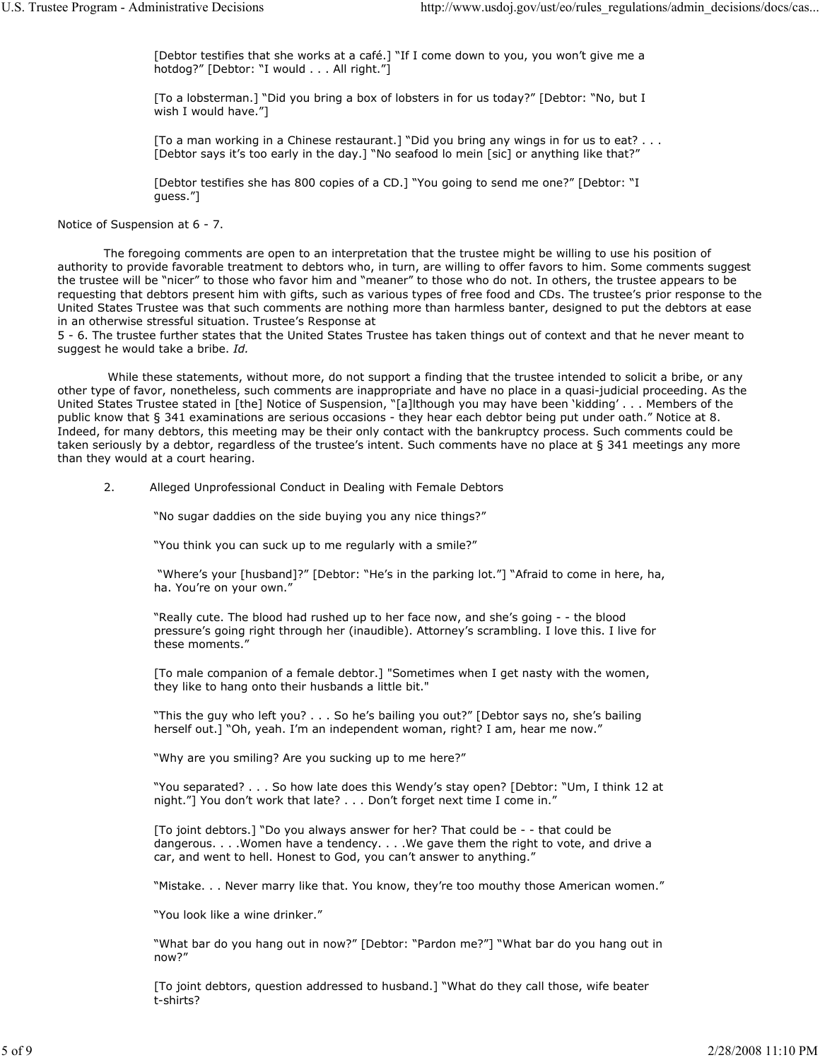[Debtor testifies that she works at a café.] "If I come down to you, you won't give me a hotdog?" [Debtor: "I would . . . All right."]

[To a lobsterman.] "Did you bring a box of lobsters in for us today?" [Debtor: "No, but I wish I would have."]

[To a man working in a Chinese restaurant.] "Did you bring any wings in for us to eat? . . . [Debtor says it's too early in the day.] "No seafood lo mein [sic] or anything like that?"

[Debtor testifies she has 800 copies of a CD.] "You going to send me one?" [Debtor: "I guess."]

Notice of Suspension at 6 - 7.

 The foregoing comments are open to an interpretation that the trustee might be willing to use his position of authority to provide favorable treatment to debtors who, in turn, are willing to offer favors to him. Some comments suggest the trustee will be "nicer" to those who favor him and "meaner" to those who do not. In others, the trustee appears to be requesting that debtors present him with gifts, such as various types of free food and CDs. The trustee's prior response to the United States Trustee was that such comments are nothing more than harmless banter, designed to put the debtors at ease in an otherwise stressful situation. Trustee's Response at

5 - 6. The trustee further states that the United States Trustee has taken things out of context and that he never meant to suggest he would take a bribe. Id.

 While these statements, without more, do not support a finding that the trustee intended to solicit a bribe, or any other type of favor, nonetheless, such comments are inappropriate and have no place in a quasi-judicial proceeding. As the United States Trustee stated in [the] Notice of Suspension, "[a]lthough you may have been 'kidding' . . . Members of the public know that § 341 examinations are serious occasions - they hear each debtor being put under oath." Notice at 8. Indeed, for many debtors, this meeting may be their only contact with the bankruptcy process. Such comments could be taken seriously by a debtor, regardless of the trustee's intent. Such comments have no place at § 341 meetings any more than they would at a court hearing.

2. Alleged Unprofessional Conduct in Dealing with Female Debtors

"No sugar daddies on the side buying you any nice things?"

"You think you can suck up to me regularly with a smile?"

 "Where's your [husband]?" [Debtor: "He's in the parking lot."] "Afraid to come in here, ha, ha. You're on your own."

"Really cute. The blood had rushed up to her face now, and she's going - - the blood pressure's going right through her (inaudible). Attorney's scrambling. I love this. I live for these moments."

[To male companion of a female debtor.] "Sometimes when I get nasty with the women, they like to hang onto their husbands a little bit."

"This the guy who left you? . . . So he's bailing you out?" [Debtor says no, she's bailing herself out.] "Oh, yeah. I'm an independent woman, right? I am, hear me now."

"Why are you smiling? Are you sucking up to me here?"

"You separated? . . . So how late does this Wendy's stay open? [Debtor: "Um, I think 12 at night."] You don't work that late? . . . Don't forget next time I come in."

[To joint debtors.] "Do you always answer for her? That could be - - that could be dangerous. . . .Women have a tendency. . . .We gave them the right to vote, and drive a car, and went to hell. Honest to God, you can't answer to anything."

"Mistake. . . Never marry like that. You know, they're too mouthy those American women."

"You look like a wine drinker."

"What bar do you hang out in now?" [Debtor: "Pardon me?"] "What bar do you hang out in now?"

[To joint debtors, question addressed to husband.] "What do they call those, wife beater t-shirts?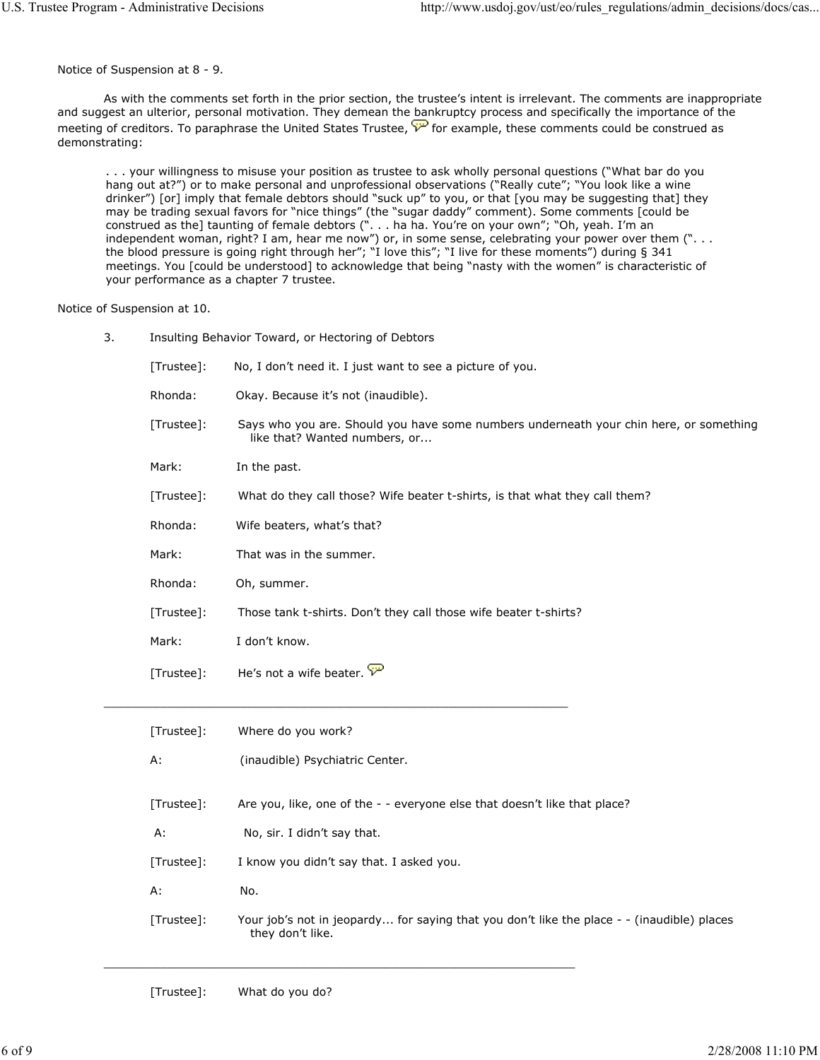Notice of Suspension at 8 - 9.

 As with the comments set forth in the prior section, the trustee's intent is irrelevant. The comments are inappropriate and suggest an ulterior, personal motivation. They demean the bankruptcy process and specifically the importance of the meeting of creditors. To paraphrase the United States Trustee,  $\check{\mathcal{V}}$  for example, these comments could be construed as demonstrating:

. . . your willingness to misuse your position as trustee to ask wholly personal questions ("What bar do you hang out at?") or to make personal and unprofessional observations ("Really cute"; "You look like a wine drinker") [or] imply that female debtors should "suck up" to you, or that [you may be suggesting that] they may be trading sexual favors for "nice things" (the "sugar daddy" comment). Some comments [could be construed as the] taunting of female debtors (". . . ha ha. You're on your own"; "Oh, yeah. I'm an independent woman, right? I am, hear me now") or, in some sense, celebrating your power over them (". . . the blood pressure is going right through her"; "I love this"; "I live for these moments") during § 341 meetings. You [could be understood] to acknowledge that being "nasty with the women" is characteristic of your performance as a chapter 7 trustee.

Notice of Suspension at 10.

| 3. | Insulting Behavior Toward, or Hectoring of Debtors |                                                                                                                         |  |
|----|----------------------------------------------------|-------------------------------------------------------------------------------------------------------------------------|--|
|    | [Trustee]:                                         | No, I don't need it. I just want to see a picture of you.                                                               |  |
|    | Rhonda:                                            | Okay. Because it's not (inaudible).                                                                                     |  |
|    | [Trustee]:                                         | Says who you are. Should you have some numbers underneath your chin here, or something<br>like that? Wanted numbers, or |  |
|    | Mark:                                              | In the past.                                                                                                            |  |
|    | [Trustee]:                                         | What do they call those? Wife beater t-shirts, is that what they call them?                                             |  |
|    | Rhonda:                                            | Wife beaters, what's that?                                                                                              |  |
|    | Mark:                                              | That was in the summer.                                                                                                 |  |
|    | Rhonda:                                            | Oh, summer.                                                                                                             |  |
|    | [Trustee]:                                         | Those tank t-shirts. Don't they call those wife beater t-shirts?                                                        |  |
|    | Mark:                                              | I don't know.                                                                                                           |  |
|    | [Trustee]:                                         | He's not a wife beater. $\overleftrightarrow{v}$                                                                        |  |
|    |                                                    |                                                                                                                         |  |

| [Trustee]: | Where do you work?                                                                                             |
|------------|----------------------------------------------------------------------------------------------------------------|
| А:         | (inaudible) Psychiatric Center.                                                                                |
| [Trustee]: | Are you, like, one of the - - everyone else that doesn't like that place?                                      |
| А:         | No, sir. I didn't say that.                                                                                    |
| [Trustee]: | I know you didn't say that. I asked you.                                                                       |
| А:         | No.                                                                                                            |
| [Trustee]: | Your job's not in jeopardy for saying that you don't like the place - - (inaudible) places<br>they don't like. |

[Trustee]: What do you do?

 $\mathcal{L}_\text{max}$  , and the set of the set of the set of the set of the set of the set of the set of the set of the set of the set of the set of the set of the set of the set of the set of the set of the set of the set of the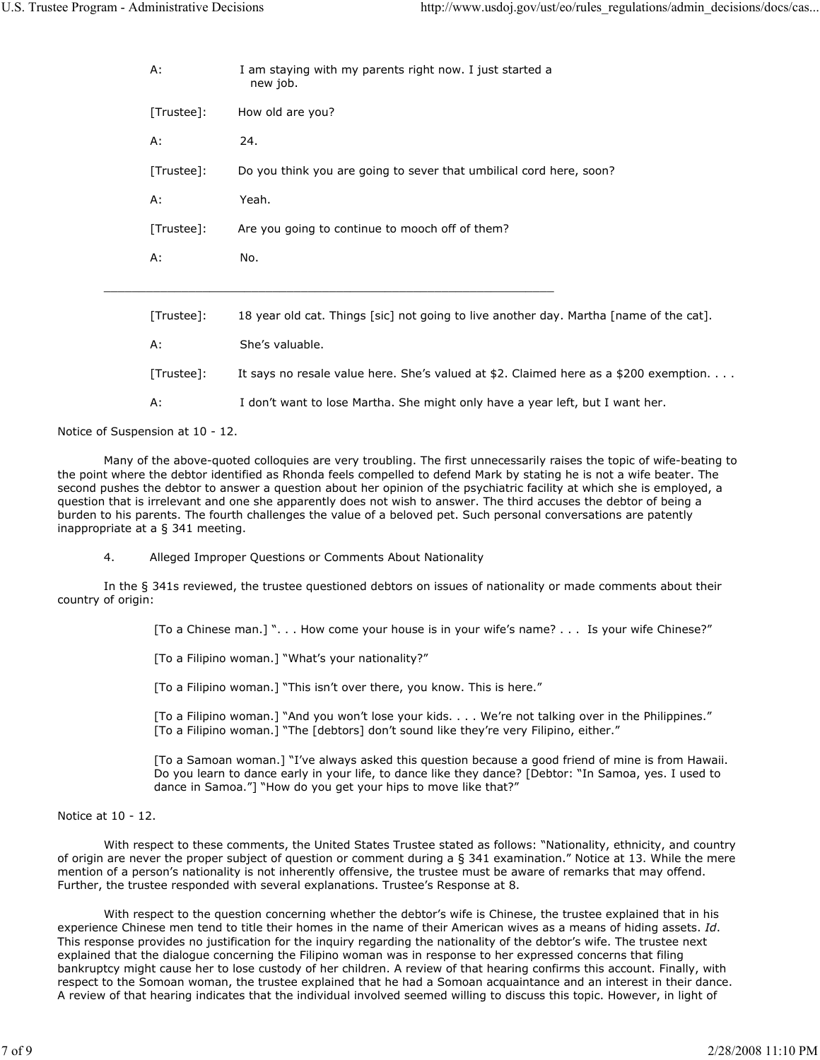| А:         | I am staying with my parents right now. I just started a<br>new job.                   |
|------------|----------------------------------------------------------------------------------------|
| [Trustee]: | How old are you?                                                                       |
| А:         | 24.                                                                                    |
| [Trustee]: | Do you think you are going to sever that umbilical cord here, soon?                    |
| А:         | Yeah.                                                                                  |
| [Trustee]: | Are you going to continue to mooch off of them?                                        |
| А:         | No.                                                                                    |
|            |                                                                                        |
| [Trustee]: | 18 year old cat. Things [sic] not going to live another day. Martha [name of the cat]. |
| A:         | She's valuable.                                                                        |
| [Trustee]: | It says no resale value here. She's valued at \$2. Claimed here as a \$200 exemption.  |
| А:         | I don't want to lose Martha. She might only have a year left, but I want her.          |

Notice of Suspension at 10 - 12.

 Many of the above-quoted colloquies are very troubling. The first unnecessarily raises the topic of wife-beating to the point where the debtor identified as Rhonda feels compelled to defend Mark by stating he is not a wife beater. The second pushes the debtor to answer a question about her opinion of the psychiatric facility at which she is employed, a question that is irrelevant and one she apparently does not wish to answer. The third accuses the debtor of being a burden to his parents. The fourth challenges the value of a beloved pet. Such personal conversations are patently inappropriate at a § 341 meeting.

4. Alleged Improper Questions or Comments About Nationality

 In the § 341s reviewed, the trustee questioned debtors on issues of nationality or made comments about their country of origin:

[To a Chinese man.] ". . . How come your house is in your wife's name? . . . Is your wife Chinese?"

[To a Filipino woman.] "What's your nationality?"

[To a Filipino woman.] "This isn't over there, you know. This is here."

[To a Filipino woman.] "And you won't lose your kids. . . . We're not talking over in the Philippines." [To a Filipino woman.] "The [debtors] don't sound like they're very Filipino, either."

[To a Samoan woman.] "I've always asked this question because a good friend of mine is from Hawaii. Do you learn to dance early in your life, to dance like they dance? [Debtor: "In Samoa, yes. I used to dance in Samoa."] "How do you get your hips to move like that?"

#### Notice at 10 - 12.

 With respect to these comments, the United States Trustee stated as follows: "Nationality, ethnicity, and country of origin are never the proper subject of question or comment during a § 341 examination." Notice at 13. While the mere mention of a person's nationality is not inherently offensive, the trustee must be aware of remarks that may offend. Further, the trustee responded with several explanations. Trustee's Response at 8.

 With respect to the question concerning whether the debtor's wife is Chinese, the trustee explained that in his experience Chinese men tend to title their homes in the name of their American wives as a means of hiding assets. Id. This response provides no justification for the inquiry regarding the nationality of the debtor's wife. The trustee next explained that the dialogue concerning the Filipino woman was in response to her expressed concerns that filing bankruptcy might cause her to lose custody of her children. A review of that hearing confirms this account. Finally, with respect to the Somoan woman, the trustee explained that he had a Somoan acquaintance and an interest in their dance. A review of that hearing indicates that the individual involved seemed willing to discuss this topic. However, in light of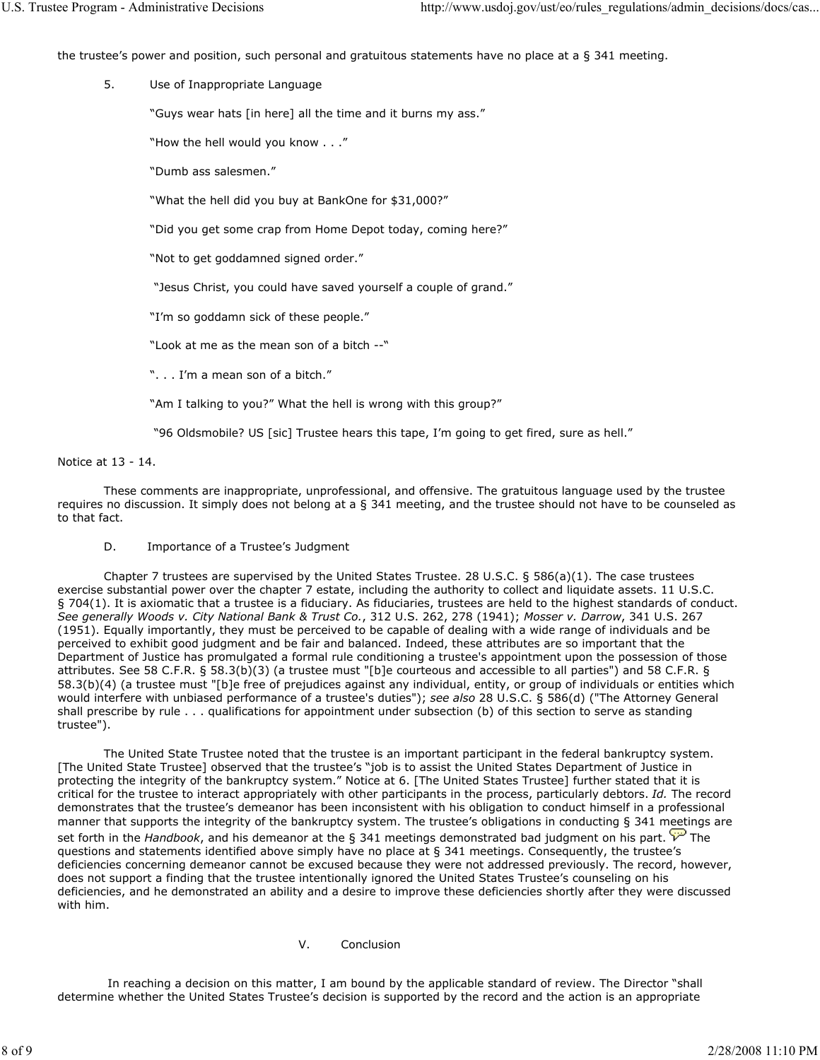the trustee's power and position, such personal and gratuitous statements have no place at a § 341 meeting.

5. Use of Inappropriate Language

"Guys wear hats [in here] all the time and it burns my ass."

"How the hell would you know . . ."

"Dumb ass salesmen."

"What the hell did you buy at BankOne for \$31,000?"

"Did you get some crap from Home Depot today, coming here?"

"Not to get goddamned signed order."

"Jesus Christ, you could have saved yourself a couple of grand."

"I'm so goddamn sick of these people."

"Look at me as the mean son of a bitch --"

". . . I'm a mean son of a bitch."

"Am I talking to you?" What the hell is wrong with this group?"

"96 Oldsmobile? US [sic] Trustee hears this tape, I'm going to get fired, sure as hell."

Notice at 13 - 14.

 These comments are inappropriate, unprofessional, and offensive. The gratuitous language used by the trustee requires no discussion. It simply does not belong at a § 341 meeting, and the trustee should not have to be counseled as to that fact.

D. Importance of a Trustee's Judgment

 Chapter 7 trustees are supervised by the United States Trustee. 28 U.S.C. § 586(a)(1). The case trustees exercise substantial power over the chapter 7 estate, including the authority to collect and liquidate assets. 11 U.S.C. § 704(1). It is axiomatic that a trustee is a fiduciary. As fiduciaries, trustees are held to the highest standards of conduct. See generally Woods v. City National Bank & Trust Co., 312 U.S. 262, 278 (1941); Mosser v. Darrow, 341 U.S. 267 (1951). Equally importantly, they must be perceived to be capable of dealing with a wide range of individuals and be perceived to exhibit good judgment and be fair and balanced. Indeed, these attributes are so important that the Department of Justice has promulgated a formal rule conditioning a trustee's appointment upon the possession of those attributes. See 58 C.F.R. § 58.3(b)(3) (a trustee must "[b]e courteous and accessible to all parties") and 58 C.F.R. § 58.3(b)(4) (a trustee must "[b]e free of prejudices against any individual, entity, or group of individuals or entities which would interfere with unbiased performance of a trustee's duties"); see also 28 U.S.C. § 586(d) ("The Attorney General shall prescribe by rule . . . qualifications for appointment under subsection (b) of this section to serve as standing trustee").

 The United State Trustee noted that the trustee is an important participant in the federal bankruptcy system. [The United State Trustee] observed that the trustee's "job is to assist the United States Department of Justice in protecting the integrity of the bankruptcy system." Notice at 6. [The United States Trustee] further stated that it is critical for the trustee to interact appropriately with other participants in the process, particularly debtors. Id. The record demonstrates that the trustee's demeanor has been inconsistent with his obligation to conduct himself in a professional manner that supports the integrity of the bankruptcy system. The trustee's obligations in conducting § 341 meetings are set forth in the Handbook, and his demeanor at the § 341 meetings demonstrated bad judgment on his part.  $\overleftrightarrow{v}$  The questions and statements identified above simply have no place at § 341 meetings. Consequently, the trustee's deficiencies concerning demeanor cannot be excused because they were not addressed previously. The record, however, does not support a finding that the trustee intentionally ignored the United States Trustee's counseling on his deficiencies, and he demonstrated an ability and a desire to improve these deficiencies shortly after they were discussed with him.

V. Conclusion

 In reaching a decision on this matter, I am bound by the applicable standard of review. The Director "shall determine whether the United States Trustee's decision is supported by the record and the action is an appropriate